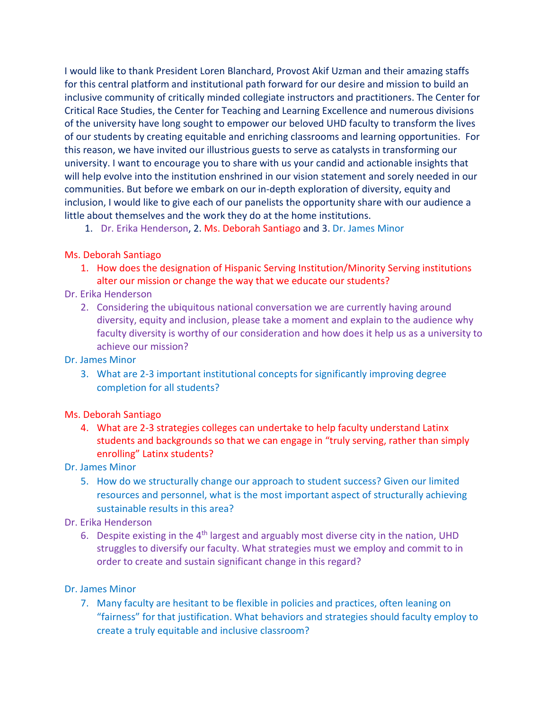I would like to thank President Loren Blanchard, Provost Akif Uzman and their amazing staffs for this central platform and institutional path forward for our desire and mission to build an inclusive community of critically minded collegiate instructors and practitioners. The Center for Critical Race Studies, the Center for Teaching and Learning Excellence and numerous divisions of the university have long sought to empower our beloved UHD faculty to transform the lives of our students by creating equitable and enriching classrooms and learning opportunities. For this reason, we have invited our illustrious guests to serve as catalysts in transforming our university. I want to encourage you to share with us your candid and actionable insights that will help evolve into the institution enshrined in our vision statement and sorely needed in our communities. But before we embark on our in-depth exploration of diversity, equity and inclusion, I would like to give each of our panelists the opportunity share with our audience a little about themselves and the work they do at the home institutions.

1. Dr. Erika Henderson, 2. Ms. Deborah Santiago and 3. Dr. James Minor

#### Ms. Deborah Santiago

1. How does the designation of Hispanic Serving Institution/Minority Serving institutions alter our mission or change the way that we educate our students?

### Dr. Erika Henderson

2. Considering the ubiquitous national conversation we are currently having around diversity, equity and inclusion, please take a moment and explain to the audience why faculty diversity is worthy of our consideration and how does it help us as a university to achieve our mission?

### Dr. James Minor

3. What are 2-3 important institutional concepts for significantly improving degree completion for all students?

#### Ms. Deborah Santiago

4. What are 2-3 strategies colleges can undertake to help faculty understand Latinx students and backgrounds so that we can engage in "truly serving, rather than simply enrolling" Latinx students?

#### Dr. James Minor

5. How do we structurally change our approach to student success? Given our limited resources and personnel, what is the most important aspect of structurally achieving sustainable results in this area?

# Dr. Erika Henderson

6. Despite existing in the 4<sup>th</sup> largest and arguably most diverse city in the nation, UHD struggles to diversify our faculty. What strategies must we employ and commit to in order to create and sustain significant change in this regard?

# Dr. James Minor

7. Many faculty are hesitant to be flexible in policies and practices, often leaning on "fairness" for that justification. What behaviors and strategies should faculty employ to create a truly equitable and inclusive classroom?